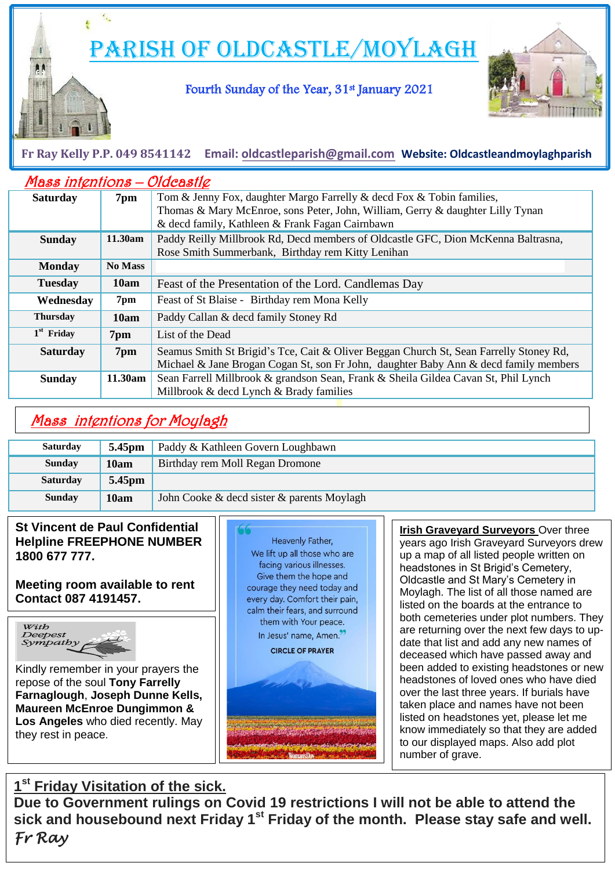Parish of Oldcastle/Moylagh

## Fourth Sunday of the Year, 31st January 2021



### Ļ **Fr Ray Kelly P.P. 049 8541142 Email: [oldcastleparish@gmail.com](mailto:oldcastleparish@gmail.com) Website: Oldcastleandmoylaghparish**

| Mass intentions - Oldcastle |                |                                                                                        |
|-----------------------------|----------------|----------------------------------------------------------------------------------------|
| <b>Saturday</b>             | 7pm            | Tom & Jenny Fox, daughter Margo Farrelly & decd Fox & Tobin families,                  |
|                             |                | Thomas & Mary McEnroe, sons Peter, John, William, Gerry & daughter Lilly Tynan         |
|                             |                | & decd family, Kathleen & Frank Fagan Cairnbawn                                        |
| <b>Sunday</b>               | 11.30am        | Paddy Reilly Millbrook Rd, Decd members of Oldcastle GFC, Dion McKenna Baltrasna,      |
|                             |                | Rose Smith Summerbank, Birthday rem Kitty Lenihan                                      |
| <b>Monday</b>               | <b>No Mass</b> |                                                                                        |
| <b>Tuesday</b>              | 10am           | Feast of the Presentation of the Lord. Candlemas Day                                   |
| Wednesday                   | 7pm            | Feast of St Blaise - Birthday rem Mona Kelly                                           |
| <b>Thursday</b>             | 10am           | Paddy Callan & decd family Stoney Rd                                                   |
| $1st$ Friday                | 7pm            | List of the Dead                                                                       |
| <b>Saturday</b>             | 7pm            | Seamus Smith St Brigid's Tce, Cait & Oliver Beggan Church St, Sean Farrelly Stoney Rd, |
|                             |                | Michael & Jane Brogan Cogan St, son Fr John, daughter Baby Ann & decd family members   |
| <b>Sunday</b>               | 11.30am        | Sean Farrell Millbrook & grandson Sean, Frank & Sheila Gildea Cavan St, Phil Lynch     |
|                             |                | Millbrook & decd Lynch & Brady families                                                |

# Mass intentions for Moylagh

| <b>Saturday</b> | 5.45 <sub>pm</sub> | Paddy & Kathleen Govern Loughbawn          |
|-----------------|--------------------|--------------------------------------------|
| <b>Sunday</b>   | 10am               | Birthday rem Moll Regan Dromone            |
| <b>Saturday</b> | 5.45 <sub>pm</sub> |                                            |
| <b>Sunday</b>   | 10am               | John Cooke & decd sister & parents Moylagh |

### **St Vincent de Paul Confidential Helpline FREEPHONE NUMBER 1800 677 777.**

**Meeting room available to rent Contact 087 4191457.**

 $\overline{a}$ 



i di se

Kindly remember in your prayers the repose of the soul **Tony Farrelly Farnaglough**, **Joseph Dunne Kells, Maureen McEnroe Dungimmon & Los Angeles** who died recently. May they rest in peace.



 taken place and names have not been **Irish Graveyard Surveyors** Over three years ago Irish Graveyard Surveyors drew up a map of all listed people written on headstones in St Brigid's Cemetery, Oldcastle and St Mary's Cemetery in Moylagh. The list of all those named are listed on the boards at the entrance to both cemeteries under plot numbers. They are returning over the next few days to update that list and add any new names of deceased which have passed away and been added to existing headstones or new headstones of loved ones who have died over the last three years. If burials have listed on headstones yet, please let me know immediately so that they are added to our displayed maps. Also add plot number of grave.

## **1 st Friday Visitation of the sick.**

**Due to Government rulings on Covid 19 restrictions I will not be able to attend the sick and housebound next Friday 1st Friday of the month. Please stay safe and well.**  *Fr Ray*